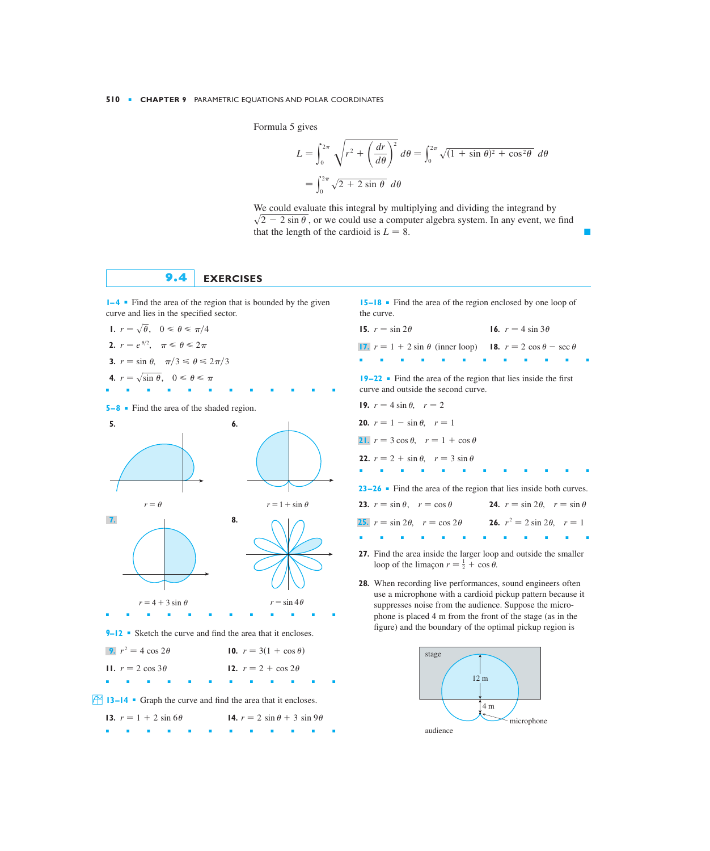Formula 5 gives

$$
L = \int_0^{2\pi} \sqrt{r^2 + \left(\frac{dr}{d\theta}\right)^2} \, d\theta = \int_0^{2\pi} \sqrt{(1 + \sin \theta)^2 + \cos^2 \theta} \, d\theta
$$

$$
= \int_0^{2\pi} \sqrt{2 + 2 \sin \theta} \, d\theta
$$

We could evaluate this integral by multiplying and dividing the integrand by  $\sqrt{2} - 2 \sin \theta$ , or we could use a computer algebra system. In any event, we find that the length of the cardioid is  $L = 8$ .

## **9.4 EXERCISES**

**1–4** ■ Find the area of the region that is bounded by the given curve and lies in the specified sector.

■■■■■■■■■■■■

1. 
$$
r = \sqrt{\theta}
$$
,  $0 \le \theta \le \pi/4$   
\n2.  $r = e^{\theta/2}$ ,  $\pi \le \theta \le 2\pi$   
\n3.  $r = \sin \theta$ ,  $\pi/3 \le \theta \le 2\pi/3$   
\n4.  $r = \sqrt{\sin \theta}$ ,  $0 \le \theta \le \pi$ 

**5–8** ■ Find the area of the shaded region.



**15–18** ■ Find the area of the region enclosed by one loop of the curve.

| 15. $r = \sin 2\theta$                                                                       | <b>16.</b> $r = 4 \sin 3\theta$ |  |  |  |  |  |
|----------------------------------------------------------------------------------------------|---------------------------------|--|--|--|--|--|
| <b>17.</b> $r = 1 + 2 \sin \theta$ (inner loop) <b>18.</b> $r = 2 \cos \theta - \sec \theta$ |                                 |  |  |  |  |  |
| .<br>$19-22$ • Find the area of the region that lies inside the first                        |                                 |  |  |  |  |  |
| curve and outside the second curve.                                                          |                                 |  |  |  |  |  |

| <b>19.</b> $r = 4 \sin \theta$ , $r = 2$                                                       |                                                   |
|------------------------------------------------------------------------------------------------|---------------------------------------------------|
| <b>20.</b> $r = 1 - \sin \theta$ , $r = 1$                                                     |                                                   |
| 21. $r = 3 \cos \theta$ , $r = 1 + \cos \theta$                                                |                                                   |
| <b>22.</b> $r = 2 + \sin \theta$ , $r = 3 \sin \theta$                                         |                                                   |
| .<br><b>23–26</b> • Find the area of the region that lies inside both curves.                  | ٠                                                 |
| 23. $r = \sin \theta$ , $r = \cos \theta$                                                      | <b>24.</b> $r = \sin 2\theta$ , $r = \sin \theta$ |
| <b>25.</b> $r = \sin 2\theta$ , $r = \cos 2\theta$ <b>26.</b> $r^2 = 2 \sin 2\theta$ , $r = 1$ |                                                   |

**27.** Find the area inside the larger loop and outside the smaller loop of the limaçon  $r = \frac{1}{2} + \cos \theta$ .

■■■■■■■■■■■■

**28.** When recording live performances, sound engineers often use a microphone with a cardioid pickup pattern because it suppresses noise from the audience. Suppose the microphone is placed 4 m from the front of the stage (as in the figure) and the boundary of the optimal pickup region is